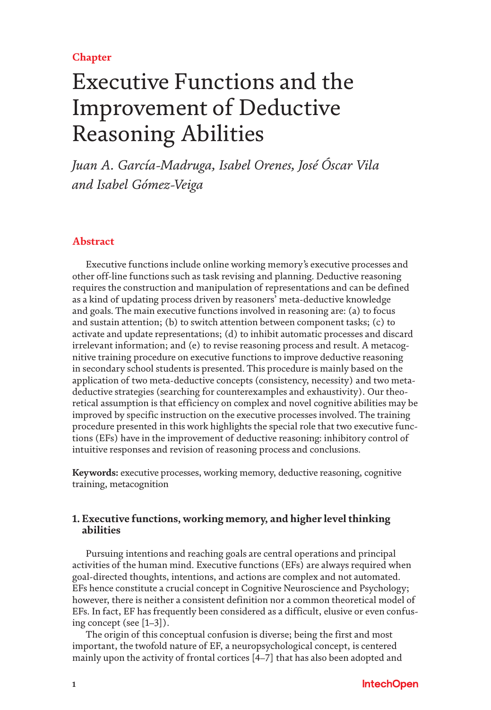# **Chapter**

# Executive Functions and the Improvement of Deductive Reasoning Abilities

*Juan A. García-Madruga, Isabel Orenes, José Óscar Vila and Isabel Gómez-Veiga*

# **Abstract**

Executive functions include online working memory's executive processes and other off-line functions such as task revising and planning. Deductive reasoning requires the construction and manipulation of representations and can be defined as a kind of updating process driven by reasoners' meta-deductive knowledge and goals. The main executive functions involved in reasoning are: (a) to focus and sustain attention; (b) to switch attention between component tasks; (c) to activate and update representations; (d) to inhibit automatic processes and discard irrelevant information; and (e) to revise reasoning process and result. A metacognitive training procedure on executive functions to improve deductive reasoning in secondary school students is presented. This procedure is mainly based on the application of two meta-deductive concepts (consistency, necessity) and two metadeductive strategies (searching for counterexamples and exhaustivity). Our theoretical assumption is that efficiency on complex and novel cognitive abilities may be improved by specific instruction on the executive processes involved. The training procedure presented in this work highlights the special role that two executive functions (EFs) have in the improvement of deductive reasoning: inhibitory control of intuitive responses and revision of reasoning process and conclusions.

**Keywords:** executive processes, working memory, deductive reasoning, cognitive training, metacognition

# **1. Executive functions, working memory, and higher level thinking abilities**

Pursuing intentions and reaching goals are central operations and principal activities of the human mind. Executive functions (EFs) are always required when goal-directed thoughts, intentions, and actions are complex and not automated. EFs hence constitute a crucial concept in Cognitive Neuroscience and Psychology; however, there is neither a consistent definition nor a common theoretical model of EFs. In fact, EF has frequently been considered as a difficult, elusive or even confusing concept (see [[1](#page-15-0)[–3](#page-15-1)]).

The origin of this conceptual confusion is diverse; being the first and most important, the twofold nature of EF, a neuropsychological concept, is centered mainly upon the activity of frontal cortices [\[4–](#page-15-2)[7\]](#page-15-3) that has also been adopted and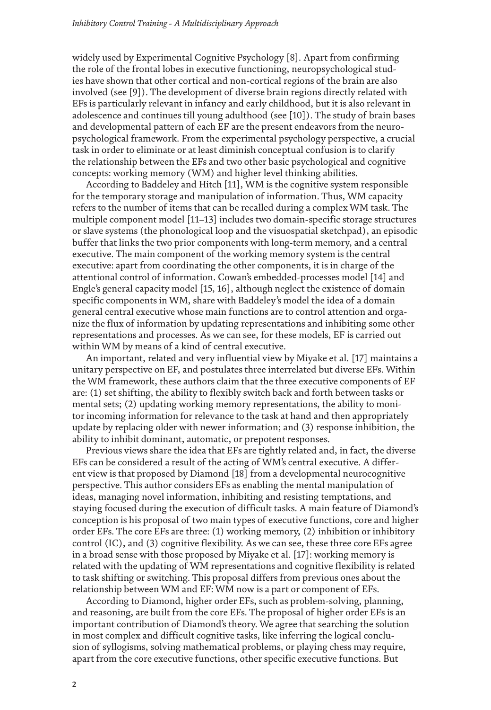widely used by Experimental Cognitive Psychology [\[8](#page-15-4)]. Apart from confirming the role of the frontal lobes in executive functioning, neuropsychological studies have shown that other cortical and non-cortical regions of the brain are also involved (see [\[9\]](#page-15-5)). The development of diverse brain regions directly related with EFs is particularly relevant in infancy and early childhood, but it is also relevant in adolescence and continues till young adulthood (see [\[10](#page-15-6)]). The study of brain bases and developmental pattern of each EF are the present endeavors from the neuropsychological framework. From the experimental psychology perspective, a crucial task in order to eliminate or at least diminish conceptual confusion is to clarify the relationship between the EFs and two other basic psychological and cognitive concepts: working memory (WM) and higher level thinking abilities.

According to Baddeley and Hitch [[11\]](#page-15-7), WM is the cognitive system responsible for the temporary storage and manipulation of information. Thus, WM capacity refers to the number of items that can be recalled during a complex WM task. The multiple component model [\[11](#page-15-7)[–13\]](#page-15-8) includes two domain-specific storage structures or slave systems (the phonological loop and the visuospatial sketchpad), an episodic buffer that links the two prior components with long-term memory, and a central executive. The main component of the working memory system is the central executive: apart from coordinating the other components, it is in charge of the attentional control of information. Cowan's embedded-processes model [\[14\]](#page-15-9) and Engle's general capacity model [\[15,](#page-15-10) [16\]](#page-15-11), although neglect the existence of domain specific components in WM, share with Baddeley's model the idea of a domain general central executive whose main functions are to control attention and organize the flux of information by updating representations and inhibiting some other representations and processes. As we can see, for these models, EF is carried out within WM by means of a kind of central executive.

An important, related and very influential view by Miyake et al. [\[17](#page-15-12)] maintains a unitary perspective on EF, and postulates three interrelated but diverse EFs. Within the WM framework, these authors claim that the three executive components of EF are: (1) set shifting, the ability to flexibly switch back and forth between tasks or mental sets; (2) updating working memory representations, the ability to monitor incoming information for relevance to the task at hand and then appropriately update by replacing older with newer information; and (3) response inhibition, the ability to inhibit dominant, automatic, or prepotent responses.

Previous views share the idea that EFs are tightly related and, in fact, the diverse EFs can be considered a result of the acting of WM's central executive. A different view is that proposed by Diamond [\[18\]](#page-16-0) from a developmental neurocognitive perspective. This author considers EFs as enabling the mental manipulation of ideas, managing novel information, inhibiting and resisting temptations, and staying focused during the execution of difficult tasks. A main feature of Diamond's conception is his proposal of two main types of executive functions, core and higher order EFs. The core EFs are three: (1) working memory, (2) inhibition or inhibitory control (IC), and (3) cognitive flexibility. As we can see, these three core EFs agree in a broad sense with those proposed by Miyake et al. [\[17\]](#page-15-12): working memory is related with the updating of WM representations and cognitive flexibility is related to task shifting or switching. This proposal differs from previous ones about the relationship between WM and EF: WM now is a part or component of EFs.

According to Diamond, higher order EFs, such as problem-solving, planning, and reasoning, are built from the core EFs. The proposal of higher order EFs is an important contribution of Diamond's theory. We agree that searching the solution in most complex and difficult cognitive tasks, like inferring the logical conclusion of syllogisms, solving mathematical problems, or playing chess may require, apart from the core executive functions, other specific executive functions. But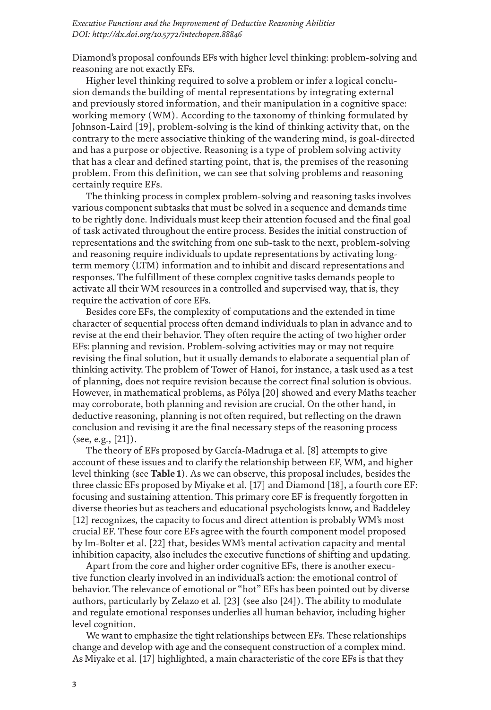Diamond's proposal confounds EFs with higher level thinking: problem-solving and reasoning are not exactly EFs.

Higher level thinking required to solve a problem or infer a logical conclusion demands the building of mental representations by integrating external and previously stored information, and their manipulation in a cognitive space: working memory (WM). According to the taxonomy of thinking formulated by Johnson-Laird [\[19](#page-16-1)], problem-solving is the kind of thinking activity that, on the contrary to the mere associative thinking of the wandering mind, is goal-directed and has a purpose or objective. Reasoning is a type of problem solving activity that has a clear and defined starting point, that is, the premises of the reasoning problem. From this definition, we can see that solving problems and reasoning certainly require EFs.

The thinking process in complex problem-solving and reasoning tasks involves various component subtasks that must be solved in a sequence and demands time to be rightly done. Individuals must keep their attention focused and the final goal of task activated throughout the entire process. Besides the initial construction of representations and the switching from one sub-task to the next, problem-solving and reasoning require individuals to update representations by activating longterm memory (LTM) information and to inhibit and discard representations and responses. The fulfillment of these complex cognitive tasks demands people to activate all their WM resources in a controlled and supervised way, that is, they require the activation of core EFs.

Besides core EFs, the complexity of computations and the extended in time character of sequential process often demand individuals to plan in advance and to revise at the end their behavior. They often require the acting of two higher order EFs: planning and revision. Problem-solving activities may or may not require revising the final solution, but it usually demands to elaborate a sequential plan of thinking activity. The problem of Tower of Hanoi, for instance, a task used as a test of planning, does not require revision because the correct final solution is obvious. However, in mathematical problems, as Pólya [\[20](#page-16-2)] showed and every Maths teacher may corroborate, both planning and revision are crucial. On the other hand, in deductive reasoning, planning is not often required, but reflecting on the drawn conclusion and revising it are the final necessary steps of the reasoning process (see, e.g., [[21](#page-16-3)]).

The theory of EFs proposed by García-Madruga et al. [\[8](#page-15-4)] attempts to give account of these issues and to clarify the relationship between EF, WM, and higher level thinking (see **[Table](#page-3-0) 1**). As we can observe, this proposal includes, besides the three classic EFs proposed by Miyake et al. [\[17](#page-15-12)] and Diamond [\[18](#page-16-0)], a fourth core EF: focusing and sustaining attention. This primary core EF is frequently forgotten in diverse theories but as teachers and educational psychologists know, and Baddeley [\[12](#page-15-13)] recognizes, the capacity to focus and direct attention is probably WM's most crucial EF. These four core EFs agree with the fourth component model proposed by Im-Bolter et al. [[22](#page-16-4)] that, besides WM's mental activation capacity and mental inhibition capacity, also includes the executive functions of shifting and updating.

Apart from the core and higher order cognitive EFs, there is another executive function clearly involved in an individual's action: the emotional control of behavior. The relevance of emotional or "hot" EFs has been pointed out by diverse authors, particularly by Zelazo et al. [\[23\]](#page-16-5) (see also [[24](#page-16-6)]). The ability to modulate and regulate emotional responses underlies all human behavior, including higher level cognition.

We want to emphasize the tight relationships between EFs. These relationships change and develop with age and the consequent construction of a complex mind. As Miyake et al. [\[17\]](#page-15-12) highlighted, a main characteristic of the core EFs is that they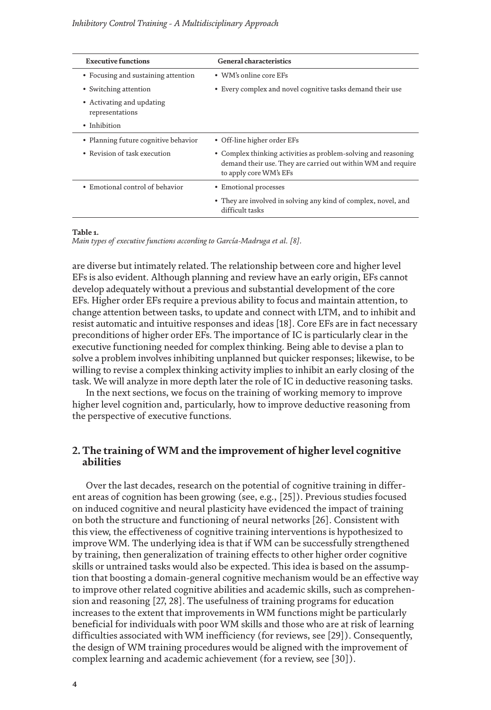<span id="page-3-0"></span>

| <b>Executive functions</b>                   | General characteristics                                                                                                                                  |  |
|----------------------------------------------|----------------------------------------------------------------------------------------------------------------------------------------------------------|--|
| • Focusing and sustaining attention          | • WM's online core EFs                                                                                                                                   |  |
| • Switching attention                        | • Every complex and novel cognitive tasks demand their use                                                                                               |  |
| • Activating and updating<br>representations |                                                                                                                                                          |  |
| • Inhibition                                 |                                                                                                                                                          |  |
| • Planning future cognitive behavior         | • Off-line higher order EFs                                                                                                                              |  |
| • Revision of task execution                 | • Complex thinking activities as problem-solving and reasoning<br>demand their use. They are carried out within WM and require<br>to apply core WM's EFs |  |
| • Emotional control of behavior              | • Emotional processes                                                                                                                                    |  |
|                                              | • They are involved in solving any kind of complex, novel, and<br>difficult tasks                                                                        |  |
|                                              |                                                                                                                                                          |  |

#### **Table 1.**

*Main types of executive functions according to García-Madruga et al. [[8\]](#page-15-4).*

are diverse but intimately related. The relationship between core and higher level EFs is also evident. Although planning and review have an early origin, EFs cannot develop adequately without a previous and substantial development of the core EFs. Higher order EFs require a previous ability to focus and maintain attention, to change attention between tasks, to update and connect with LTM, and to inhibit and resist automatic and intuitive responses and ideas [\[18\]](#page-16-0). Core EFs are in fact necessary preconditions of higher order EFs. The importance of IC is particularly clear in the executive functioning needed for complex thinking. Being able to devise a plan to solve a problem involves inhibiting unplanned but quicker responses; likewise, to be willing to revise a complex thinking activity implies to inhibit an early closing of the task. We will analyze in more depth later the role of IC in deductive reasoning tasks.

In the next sections, we focus on the training of working memory to improve higher level cognition and, particularly, how to improve deductive reasoning from the perspective of executive functions.

# **2. The training of WM and the improvement of higher level cognitive abilities**

Over the last decades, research on the potential of cognitive training in different areas of cognition has been growing (see, e.g., [\[25\]](#page-16-7)). Previous studies focused on induced cognitive and neural plasticity have evidenced the impact of training on both the structure and functioning of neural networks [\[26](#page-16-8)]. Consistent with this view, the effectiveness of cognitive training interventions is hypothesized to improve WM. The underlying idea is that if WM can be successfully strengthened by training, then generalization of training effects to other higher order cognitive skills or untrained tasks would also be expected. This idea is based on the assumption that boosting a domain-general cognitive mechanism would be an effective way to improve other related cognitive abilities and academic skills, such as comprehension and reasoning [\[27](#page-16-9), [28\]](#page-16-10). The usefulness of training programs for education increases to the extent that improvements in WM functions might be particularly beneficial for individuals with poor WM skills and those who are at risk of learning difficulties associated with WM inefficiency (for reviews, see [\[29\]](#page-16-11)). Consequently, the design of WM training procedures would be aligned with the improvement of complex learning and academic achievement (for a review, see [\[30\]](#page-16-12)).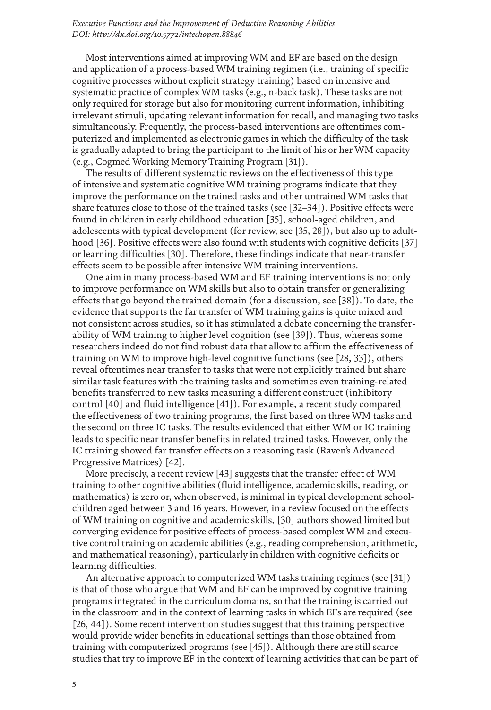Most interventions aimed at improving WM and EF are based on the design and application of a process-based WM training regimen (i.e., training of specific cognitive processes without explicit strategy training) based on intensive and systematic practice of complex WM tasks (e.g., n-back task). These tasks are not only required for storage but also for monitoring current information, inhibiting irrelevant stimuli, updating relevant information for recall, and managing two tasks simultaneously. Frequently, the process-based interventions are oftentimes computerized and implemented as electronic games in which the difficulty of the task is gradually adapted to bring the participant to the limit of his or her WM capacity (e.g., Cogmed Working Memory Training Program [\[31](#page-16-13)]).

The results of different systematic reviews on the effectiveness of this type of intensive and systematic cognitive WM training programs indicate that they improve the performance on the trained tasks and other untrained WM tasks that share features close to those of the trained tasks (see [\[32](#page-16-14)[–34\]](#page-17-0)). Positive effects were found in children in early childhood education [\[35](#page-17-1)], school-aged children, and adolescents with typical development (for review, see [\[35,](#page-17-1) [28\]](#page-16-10)), but also up to adult-hood [\[36\]](#page-17-2). Positive effects were also found with students with cognitive deficits [[37\]](#page-17-3) or learning difficulties [[30](#page-16-12)]. Therefore, these findings indicate that near-transfer effects seem to be possible after intensive WM training interventions.

One aim in many process-based WM and EF training interventions is not only to improve performance on WM skills but also to obtain transfer or generalizing effects that go beyond the trained domain (for a discussion, see [\[38](#page-17-4)]). To date, the evidence that supports the far transfer of WM training gains is quite mixed and not consistent across studies, so it has stimulated a debate concerning the transferability of WM training to higher level cognition (see [\[39](#page-17-5)]). Thus, whereas some researchers indeed do not find robust data that allow to affirm the effectiveness of training on WM to improve high-level cognitive functions (see [[28,](#page-16-10) [33\]](#page-16-15)), others reveal oftentimes near transfer to tasks that were not explicitly trained but share similar task features with the training tasks and sometimes even training-related benefits transferred to new tasks measuring a different construct (inhibitory control [\[40\]](#page-17-6) and fluid intelligence [\[41](#page-17-7)]). For example, a recent study compared the effectiveness of two training programs, the first based on three WM tasks and the second on three IC tasks. The results evidenced that either WM or IC training leads to specific near transfer benefits in related trained tasks. However, only the IC training showed far transfer effects on a reasoning task (Raven's Advanced Progressive Matrices) [\[42\]](#page-17-8).

More precisely, a recent review [\[43\]](#page-17-9) suggests that the transfer effect of WM training to other cognitive abilities (fluid intelligence, academic skills, reading, or mathematics) is zero or, when observed, is minimal in typical development schoolchildren aged between 3 and 16 years. However, in a review focused on the effects of WM training on cognitive and academic skills, [\[30](#page-16-12)] authors showed limited but converging evidence for positive effects of process-based complex WM and executive control training on academic abilities (e.g., reading comprehension, arithmetic, and mathematical reasoning), particularly in children with cognitive deficits or learning difficulties.

An alternative approach to computerized WM tasks training regimes (see [\[31\]](#page-16-13)) is that of those who argue that WM and EF can be improved by cognitive training programs integrated in the curriculum domains, so that the training is carried out in the classroom and in the context of learning tasks in which EFs are required (see [\[26,](#page-16-8) [44](#page-17-10)]). Some recent intervention studies suggest that this training perspective would provide wider benefits in educational settings than those obtained from training with computerized programs (see [\[45\]](#page-17-11)). Although there are still scarce studies that try to improve EF in the context of learning activities that can be part of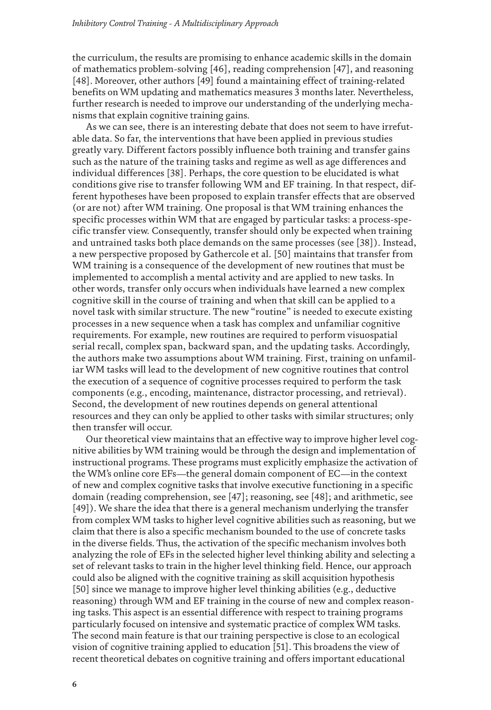the curriculum, the results are promising to enhance academic skills in the domain of mathematics problem-solving [\[46\]](#page-17-12), reading comprehension [\[47\]](#page-17-13), and reasoning [\[48\]](#page-17-14). Moreover, other authors [\[49](#page-18-0)] found a maintaining effect of training-related benefits on WM updating and mathematics measures 3 months later. Nevertheless, further research is needed to improve our understanding of the underlying mechanisms that explain cognitive training gains.

As we can see, there is an interesting debate that does not seem to have irrefutable data. So far, the interventions that have been applied in previous studies greatly vary. Different factors possibly influence both training and transfer gains such as the nature of the training tasks and regime as well as age differences and individual differences [\[38](#page-17-4)]. Perhaps, the core question to be elucidated is what conditions give rise to transfer following WM and EF training. In that respect, different hypotheses have been proposed to explain transfer effects that are observed (or are not) after WM training. One proposal is that WM training enhances the specific processes within WM that are engaged by particular tasks: a process-specific transfer view. Consequently, transfer should only be expected when training and untrained tasks both place demands on the same processes (see [\[38](#page-17-4)]). Instead, a new perspective proposed by Gathercole et al. [\[50\]](#page-18-1) maintains that transfer from WM training is a consequence of the development of new routines that must be implemented to accomplish a mental activity and are applied to new tasks. In other words, transfer only occurs when individuals have learned a new complex cognitive skill in the course of training and when that skill can be applied to a novel task with similar structure. The new "routine" is needed to execute existing processes in a new sequence when a task has complex and unfamiliar cognitive requirements. For example, new routines are required to perform visuospatial serial recall, complex span, backward span, and the updating tasks. Accordingly, the authors make two assumptions about WM training. First, training on unfamiliar WM tasks will lead to the development of new cognitive routines that control the execution of a sequence of cognitive processes required to perform the task components (e.g., encoding, maintenance, distractor processing, and retrieval). Second, the development of new routines depends on general attentional resources and they can only be applied to other tasks with similar structures; only then transfer will occur.

Our theoretical view maintains that an effective way to improve higher level cognitive abilities by WM training would be through the design and implementation of instructional programs. These programs must explicitly emphasize the activation of the WM's online core EFs—the general domain component of EC—in the context of new and complex cognitive tasks that involve executive functioning in a specific domain (reading comprehension, see [\[47\]](#page-17-13); reasoning, see [\[48\]](#page-17-14); and arithmetic, see [\[49](#page-18-0)]). We share the idea that there is a general mechanism underlying the transfer from complex WM tasks to higher level cognitive abilities such as reasoning, but we claim that there is also a specific mechanism bounded to the use of concrete tasks in the diverse fields. Thus, the activation of the specific mechanism involves both analyzing the role of EFs in the selected higher level thinking ability and selecting a set of relevant tasks to train in the higher level thinking field. Hence, our approach could also be aligned with the cognitive training as skill acquisition hypothesis [\[50](#page-18-1)] since we manage to improve higher level thinking abilities (e.g., deductive reasoning) through WM and EF training in the course of new and complex reasoning tasks. This aspect is an essential difference with respect to training programs particularly focused on intensive and systematic practice of complex WM tasks. The second main feature is that our training perspective is close to an ecological vision of cognitive training applied to education [\[51](#page-18-2)]. This broadens the view of recent theoretical debates on cognitive training and offers important educational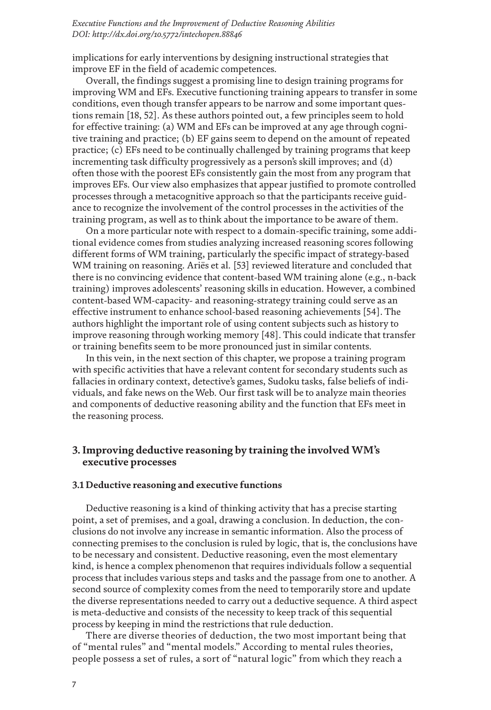implications for early interventions by designing instructional strategies that improve EF in the field of academic competences.

Overall, the findings suggest a promising line to design training programs for improving WM and EFs. Executive functioning training appears to transfer in some conditions, even though transfer appears to be narrow and some important questions remain [\[18,](#page-16-0) [52](#page-18-3)]. As these authors pointed out, a few principles seem to hold for effective training: (a) WM and EFs can be improved at any age through cognitive training and practice; (b) EF gains seem to depend on the amount of repeated practice; (c) EFs need to be continually challenged by training programs that keep incrementing task difficulty progressively as a person's skill improves; and (d) often those with the poorest EFs consistently gain the most from any program that improves EFs. Our view also emphasizes that appear justified to promote controlled processes through a metacognitive approach so that the participants receive guidance to recognize the involvement of the control processes in the activities of the training program, as well as to think about the importance to be aware of them.

On a more particular note with respect to a domain-specific training, some additional evidence comes from studies analyzing increased reasoning scores following different forms of WM training, particularly the specific impact of strategy-based WM training on reasoning. Ariës et al. [\[53](#page-18-4)] reviewed literature and concluded that there is no convincing evidence that content-based WM training alone (e.g., n-back training) improves adolescents' reasoning skills in education. However, a combined content-based WM-capacity- and reasoning-strategy training could serve as an effective instrument to enhance school-based reasoning achievements [\[54](#page-18-5)]. The authors highlight the important role of using content subjects such as history to improve reasoning through working memory [\[48\]](#page-17-14). This could indicate that transfer or training benefits seem to be more pronounced just in similar contents.

In this vein, in the next section of this chapter, we propose a training program with specific activities that have a relevant content for secondary students such as fallacies in ordinary context, detective's games, Sudoku tasks, false beliefs of individuals, and fake news on the Web. Our first task will be to analyze main theories and components of deductive reasoning ability and the function that EFs meet in the reasoning process.

# **3. Improving deductive reasoning by training the involved WM's executive processes**

## **3.1 Deductive reasoning and executive functions**

Deductive reasoning is a kind of thinking activity that has a precise starting point, a set of premises, and a goal, drawing a conclusion. In deduction, the conclusions do not involve any increase in semantic information. Also the process of connecting premises to the conclusion is ruled by logic, that is, the conclusions have to be necessary and consistent. Deductive reasoning, even the most elementary kind, is hence a complex phenomenon that requires individuals follow a sequential process that includes various steps and tasks and the passage from one to another. A second source of complexity comes from the need to temporarily store and update the diverse representations needed to carry out a deductive sequence. A third aspect is meta-deductive and consists of the necessity to keep track of this sequential process by keeping in mind the restrictions that rule deduction.

There are diverse theories of deduction, the two most important being that of "mental rules" and "mental models." According to mental rules theories, people possess a set of rules, a sort of "natural logic" from which they reach a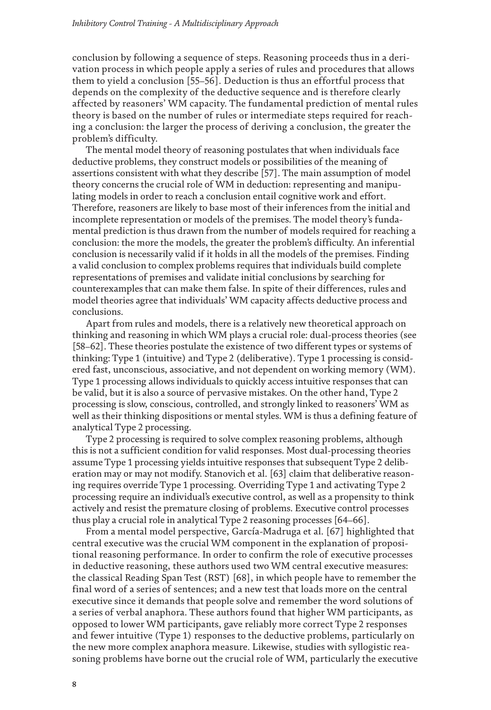conclusion by following a sequence of steps. Reasoning proceeds thus in a derivation process in which people apply a series of rules and procedures that allows them to yield a conclusion [[55–](#page-18-6)[56](#page-18-7)]. Deduction is thus an effortful process that depends on the complexity of the deductive sequence and is therefore clearly affected by reasoners' WM capacity. The fundamental prediction of mental rules theory is based on the number of rules or intermediate steps required for reaching a conclusion: the larger the process of deriving a conclusion, the greater the problem's difficulty.

The mental model theory of reasoning postulates that when individuals face deductive problems, they construct models or possibilities of the meaning of assertions consistent with what they describe [[57\]](#page-18-8). The main assumption of model theory concerns the crucial role of WM in deduction: representing and manipulating models in order to reach a conclusion entail cognitive work and effort. Therefore, reasoners are likely to base most of their inferences from the initial and incomplete representation or models of the premises. The model theory's fundamental prediction is thus drawn from the number of models required for reaching a conclusion: the more the models, the greater the problem's difficulty. An inferential conclusion is necessarily valid if it holds in all the models of the premises. Finding a valid conclusion to complex problems requires that individuals build complete representations of premises and validate initial conclusions by searching for counterexamples that can make them false. In spite of their differences, rules and model theories agree that individuals' WM capacity affects deductive process and conclusions.

Apart from rules and models, there is a relatively new theoretical approach on thinking and reasoning in which WM plays a crucial role: dual-process theories (see [\[58–](#page-18-9)[62\]](#page-18-10). These theories postulate the existence of two different types or systems of thinking: Type 1 (intuitive) and Type 2 (deliberative). Type 1 processing is considered fast, unconscious, associative, and not dependent on working memory (WM). Type 1 processing allows individuals to quickly access intuitive responses that can be valid, but it is also a source of pervasive mistakes. On the other hand, Type 2 processing is slow, conscious, controlled, and strongly linked to reasoners' WM as well as their thinking dispositions or mental styles. WM is thus a defining feature of analytical Type 2 processing.

Type 2 processing is required to solve complex reasoning problems, although this is not a sufficient condition for valid responses. Most dual-processing theories assume Type 1 processing yields intuitive responses that subsequent Type 2 deliberation may or may not modify. Stanovich et al. [\[63](#page-18-11)] claim that deliberative reasoning requires override Type 1 processing. Overriding Type 1 and activating Type 2 processing require an individual's executive control, as well as a propensity to think actively and resist the premature closing of problems. Executive control processes thus play a crucial role in analytical Type 2 reasoning processes [\[64–](#page-18-12)[66\]](#page-19-0).

From a mental model perspective, García-Madruga et al. [\[67\]](#page-19-1) highlighted that central executive was the crucial WM component in the explanation of propositional reasoning performance. In order to confirm the role of executive processes in deductive reasoning, these authors used two WM central executive measures: the classical Reading Span Test (RST) [[68](#page-19-2)], in which people have to remember the final word of a series of sentences; and a new test that loads more on the central executive since it demands that people solve and remember the word solutions of a series of verbal anaphora. These authors found that higher WM participants, as opposed to lower WM participants, gave reliably more correct Type 2 responses and fewer intuitive (Type 1) responses to the deductive problems, particularly on the new more complex anaphora measure. Likewise, studies with syllogistic reasoning problems have borne out the crucial role of WM, particularly the executive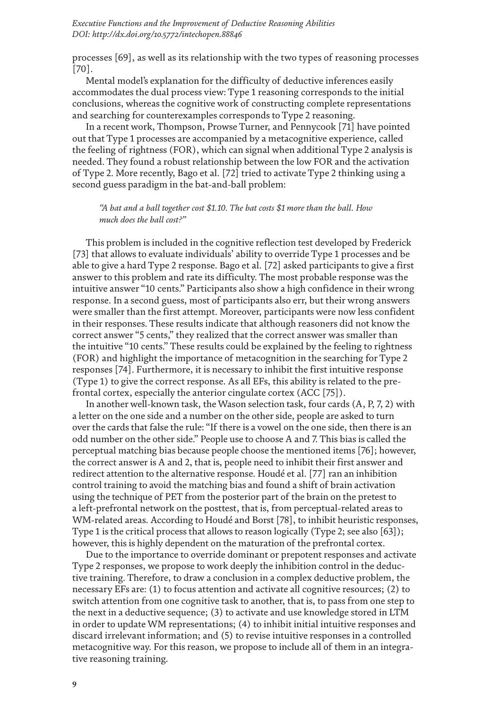processes [[69](#page-19-3)], as well as its relationship with the two types of reasoning processes [\[70\]](#page-19-4).

Mental model's explanation for the difficulty of deductive inferences easily accommodates the dual process view: Type 1 reasoning corresponds to the initial conclusions, whereas the cognitive work of constructing complete representations and searching for counterexamples corresponds to Type 2 reasoning.

In a recent work, Thompson, Prowse Turner, and Pennycook [\[71\]](#page-19-5) have pointed out that Type 1 processes are accompanied by a metacognitive experience, called the feeling of rightness (FOR), which can signal when additional Type 2 analysis is needed. They found a robust relationship between the low FOR and the activation of Type 2. More recently, Bago et al. [[72](#page-19-6)] tried to activate Type 2 thinking using a second guess paradigm in the bat-and-ball problem:

*"A bat and a ball together cost \$1.10. The bat costs \$1 more than the ball. How much does the ball cost?"*

This problem is included in the cognitive reflection test developed by Frederick [\[73\]](#page-19-7) that allows to evaluate individuals' ability to override Type 1 processes and be able to give a hard Type 2 response. Bago et al. [\[72](#page-19-6)] asked participants to give a first answer to this problem and rate its difficulty. The most probable response was the intuitive answer "10 cents." Participants also show a high confidence in their wrong response. In a second guess, most of participants also err, but their wrong answers were smaller than the first attempt. Moreover, participants were now less confident in their responses. These results indicate that although reasoners did not know the correct answer "5 cents," they realized that the correct answer was smaller than the intuitive "10 cents." These results could be explained by the feeling to rightness (FOR) and highlight the importance of metacognition in the searching for Type 2 responses [\[74\]](#page-19-8). Furthermore, it is necessary to inhibit the first intuitive response (Type 1) to give the correct response. As all EFs, this ability is related to the prefrontal cortex, especially the anterior cingulate cortex (ACC [[75](#page-19-9)]).

In another well-known task, the Wason selection task, four cards (A, P, 7, 2) with a letter on the one side and a number on the other side, people are asked to turn over the cards that false the rule: "If there is a vowel on the one side, then there is an odd number on the other side." People use to choose A and 7. This bias is called the perceptual matching bias because people choose the mentioned items [\[76](#page-19-10)]; however, the correct answer is A and 2, that is, people need to inhibit their first answer and redirect attention to the alternative response. Houdé et al. [[77](#page-19-11)] ran an inhibition control training to avoid the matching bias and found a shift of brain activation using the technique of PET from the posterior part of the brain on the pretest to a left-prefrontal network on the posttest, that is, from perceptual-related areas to WM-related areas. According to Houdé and Borst [[78\]](#page-19-12), to inhibit heuristic responses, Type 1 is the critical process that allows to reason logically (Type 2; see also [[63](#page-18-11)]); however, this is highly dependent on the maturation of the prefrontal cortex.

Due to the importance to override dominant or prepotent responses and activate Type 2 responses, we propose to work deeply the inhibition control in the deductive training. Therefore, to draw a conclusion in a complex deductive problem, the necessary EFs are: (1) to focus attention and activate all cognitive resources; (2) to switch attention from one cognitive task to another, that is, to pass from one step to the next in a deductive sequence; (3) to activate and use knowledge stored in LTM in order to update WM representations; (4) to inhibit initial intuitive responses and discard irrelevant information; and (5) to revise intuitive responses in a controlled metacognitive way. For this reason, we propose to include all of them in an integrative reasoning training.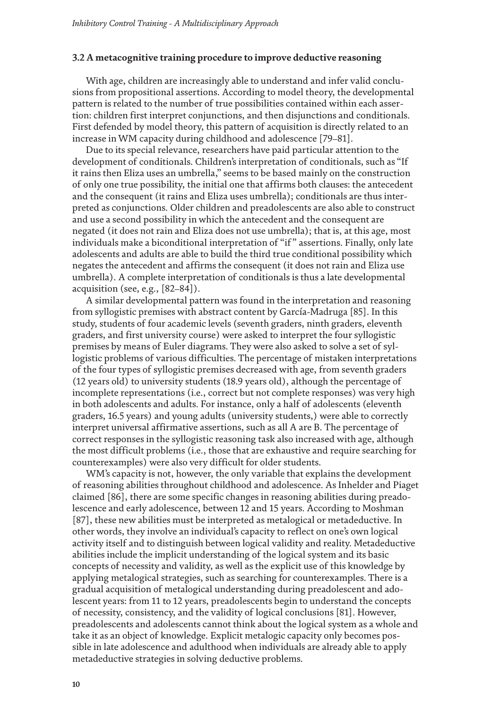### **3.2 A metacognitive training procedure to improve deductive reasoning**

With age, children are increasingly able to understand and infer valid conclusions from propositional assertions. According to model theory, the developmental pattern is related to the number of true possibilities contained within each assertion: children first interpret conjunctions, and then disjunctions and conditionals. First defended by model theory, this pattern of acquisition is directly related to an increase in WM capacity during childhood and adolescence [[79–](#page-19-13)[81](#page-20-0)].

Due to its special relevance, researchers have paid particular attention to the development of conditionals. Children's interpretation of conditionals, such as "If it rains then Eliza uses an umbrella," seems to be based mainly on the construction of only one true possibility, the initial one that affirms both clauses: the antecedent and the consequent (it rains and Eliza uses umbrella); conditionals are thus interpreted as conjunctions. Older children and preadolescents are also able to construct and use a second possibility in which the antecedent and the consequent are negated (it does not rain and Eliza does not use umbrella); that is, at this age, most individuals make a biconditional interpretation of "if" assertions. Finally, only late adolescents and adults are able to build the third true conditional possibility which negates the antecedent and affirms the consequent (it does not rain and Eliza use umbrella). A complete interpretation of conditionals is thus a late developmental acquisition (see, e.g., [\[82](#page-20-1)[–84](#page-20-2)]).

A similar developmental pattern was found in the interpretation and reasoning from syllogistic premises with abstract content by García-Madruga [\[85](#page-20-3)]. In this study, students of four academic levels (seventh graders, ninth graders, eleventh graders, and first university course) were asked to interpret the four syllogistic premises by means of Euler diagrams. They were also asked to solve a set of syllogistic problems of various difficulties. The percentage of mistaken interpretations of the four types of syllogistic premises decreased with age, from seventh graders (12 years old) to university students (18.9 years old), although the percentage of incomplete representations (i.e., correct but not complete responses) was very high in both adolescents and adults. For instance, only a half of adolescents (eleventh graders, 16.5 years) and young adults (university students,) were able to correctly interpret universal affirmative assertions, such as all A are B. The percentage of correct responses in the syllogistic reasoning task also increased with age, although the most difficult problems (i.e., those that are exhaustive and require searching for counterexamples) were also very difficult for older students.

WM's capacity is not, however, the only variable that explains the development of reasoning abilities throughout childhood and adolescence. As Inhelder and Piaget claimed [\[86\]](#page-20-4), there are some specific changes in reasoning abilities during preadolescence and early adolescence, between 12 and 15 years. According to Moshman [\[87](#page-20-5)], these new abilities must be interpreted as metalogical or metadeductive. In other words, they involve an individual's capacity to reflect on one's own logical activity itself and to distinguish between logical validity and reality. Metadeductive abilities include the implicit understanding of the logical system and its basic concepts of necessity and validity, as well as the explicit use of this knowledge by applying metalogical strategies, such as searching for counterexamples. There is a gradual acquisition of metalogical understanding during preadolescent and adolescent years: from 11 to 12 years, preadolescents begin to understand the concepts of necessity, consistency, and the validity of logical conclusions [\[81](#page-20-0)]. However, preadolescents and adolescents cannot think about the logical system as a whole and take it as an object of knowledge. Explicit metalogic capacity only becomes possible in late adolescence and adulthood when individuals are already able to apply metadeductive strategies in solving deductive problems.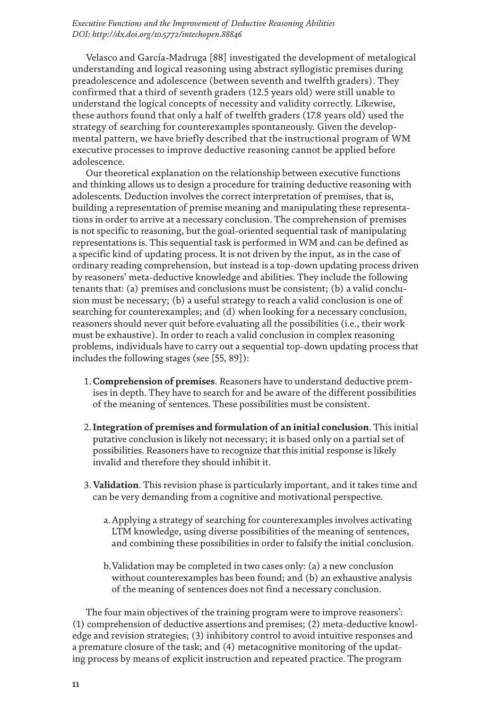Velasco and García-Madruga [\[88\]](#page-20-6) investigated the development of metalogical understanding and logical reasoning using abstract syllogistic premises during preadolescence and adolescence (between seventh and twelfth graders). They confirmed that a third of seventh graders (12.5 years old) were still unable to understand the logical concepts of necessity and validity correctly. Likewise, these authors found that only a half of twelfth graders (17.8 years old) used the strategy of searching for counterexamples spontaneously. Given the developmental pattern, we have briefly described that the instructional program of WM executive processes to improve deductive reasoning cannot be applied before adolescence.

Our theoretical explanation on the relationship between executive functions and thinking allows us to design a procedure for training deductive reasoning with adolescents. Deduction involves the correct interpretation of premises, that is, building a representation of premise meaning and manipulating these representations in order to arrive at a necessary conclusion. The comprehension of premises is not specific to reasoning, but the goal-oriented sequential task of manipulating representations is. This sequential task is performed in WM and can be defined as a specific kind of updating process. It is not driven by the input, as in the case of ordinary reading comprehension, but instead is a top-down updating process driven by reasoners' meta-deductive knowledge and abilities. They include the following tenants that: (a) premises and conclusions must be consistent; (b) a valid conclusion must be necessary; (b) a useful strategy to reach a valid conclusion is one of searching for counterexamples; and (d) when looking for a necessary conclusion, reasoners should never quit before evaluating all the possibilities (i.e., their work must be exhaustive). In order to reach a valid conclusion in complex reasoning problems, individuals have to carry out a sequential top-down updating process that includes the following stages (see [\[55,](#page-18-6) [89](#page-20-7)]):

- 1.**Comprehension of premises**. Reasoners have to understand deductive premises in depth. They have to search for and be aware of the different possibilities of the meaning of sentences. These possibilities must be consistent.
- 2.**Integration of premises and formulation of an initial conclusion**. This initial putative conclusion is likely not necessary; it is based only on a partial set of possibilities. Reasoners have to recognize that this initial response is likely invalid and therefore they should inhibit it.
- 3.**Validation**. This revision phase is particularly important, and it takes time and can be very demanding from a cognitive and motivational perspective.
	- a.Applying a strategy of searching for counterexamples involves activating LTM knowledge, using diverse possibilities of the meaning of sentences, and combining these possibilities in order to falsify the initial conclusion.
	- b.Validation may be completed in two cases only: (a) a new conclusion without counterexamples has been found; and (b) an exhaustive analysis of the meaning of sentences does not find a necessary conclusion.

The four main objectives of the training program were to improve reasoners': (1) comprehension of deductive assertions and premises; (2) meta-deductive knowledge and revision strategies; (3) inhibitory control to avoid intuitive responses and a premature closure of the task; and (4) metacognitive monitoring of the updating process by means of explicit instruction and repeated practice. The program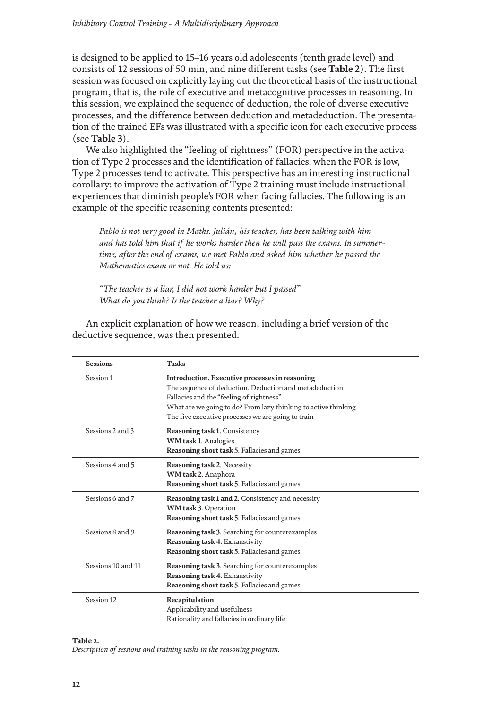is designed to be applied to 15–16 years old adolescents (tenth grade level) and consists of 12 sessions of 50 min, and nine different tasks (see **[Table](#page-11-0) 2**). The first session was focused on explicitly laying out the theoretical basis of the instructional program, that is, the role of executive and metacognitive processes in reasoning. In this session, we explained the sequence of deduction, the role of diverse executive processes, and the difference between deduction and metadeduction. The presentation of the trained EFs was illustrated with a specific icon for each executive process (see **[Table](#page-12-0) 3**).

We also highlighted the "feeling of rightness" (FOR) perspective in the activation of Type 2 processes and the identification of fallacies: when the FOR is low, Type 2 processes tend to activate. This perspective has an interesting instructional corollary: to improve the activation of Type 2 training must include instructional experiences that diminish people's FOR when facing fallacies. The following is an example of the specific reasoning contents presented:

*Pablo is not very good in Maths. Julián, his teacher, has been talking with him and has told him that if he works harder then he will pass the exams. In summertime, after the end of exams, we met Pablo and asked him whether he passed the Mathematics exam or not. He told us:*

*"The teacher is a liar, I did not work harder but I passed" What do you think? Is the teacher a liar? Why?*

An explicit explanation of how we reason, including a brief version of the deductive sequence, was then presented.

<span id="page-11-0"></span>

| <b>Sessions</b>    | <b>Tasks</b>                                                                                                                                                                                                                                                                 |  |
|--------------------|------------------------------------------------------------------------------------------------------------------------------------------------------------------------------------------------------------------------------------------------------------------------------|--|
| Session 1          | Introduction. Executive processes in reasoning<br>The sequence of deduction. Deduction and metadeduction<br>Fallacies and the "feeling of rightness"<br>What are we going to do? From lazy thinking to active thinking<br>The five executive processes we are going to train |  |
| Sessions 2 and 3   | Reasoning task 1. Consistency<br>WM task 1. Analogies<br>Reasoning short task 5. Fallacies and games                                                                                                                                                                         |  |
| Sessions 4 and 5   | <b>Reasoning task 2. Necessity</b><br>WM task 2. Anaphora<br>Reasoning short task 5. Fallacies and games                                                                                                                                                                     |  |
| Sessions 6 and 7   | Reasoning task 1 and 2. Consistency and necessity<br>WM task 3. Operation<br>Reasoning short task 5. Fallacies and games                                                                                                                                                     |  |
| Sessions 8 and 9   | <b>Reasoning task 3.</b> Searching for counterexamples<br>Reasoning task 4. Exhaustivity<br>Reasoning short task 5. Fallacies and games                                                                                                                                      |  |
| Sessions 10 and 11 | <b>Reasoning task 3.</b> Searching for counterexamples<br>Reasoning task 4. Exhaustivity<br>Reasoning short task 5. Fallacies and games                                                                                                                                      |  |
| Session 12         | Recapitulation<br>Applicability and usefulness<br>Rationality and fallacies in ordinary life                                                                                                                                                                                 |  |

#### **Table 2.**

*Description of sessions and training tasks in the reasoning program.*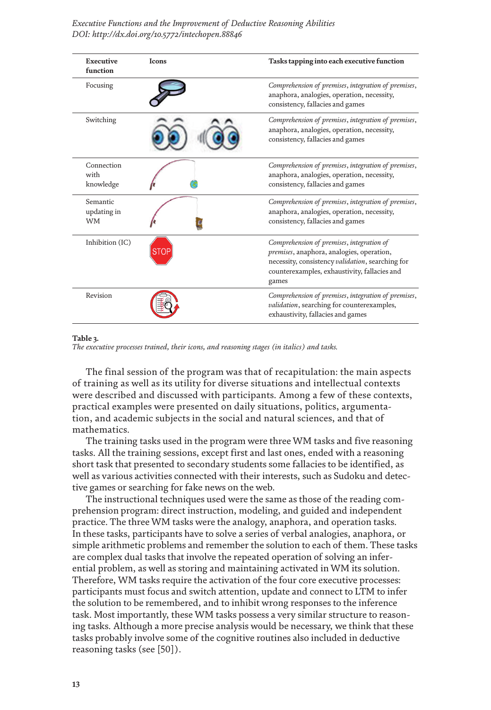<span id="page-12-0"></span>

| Executive<br>function                | Icons | Tasks tapping into each executive function                                                                                                                                                          |
|--------------------------------------|-------|-----------------------------------------------------------------------------------------------------------------------------------------------------------------------------------------------------|
| Focusing                             |       | Comprehension of premises, integration of premises,<br>anaphora, analogies, operation, necessity,<br>consistency, fallacies and games                                                               |
| Switching                            |       | Comprehension of premises, integration of premises,<br>anaphora, analogies, operation, necessity,<br>consistency, fallacies and games                                                               |
| Connection<br>with<br>knowledge      |       | Comprehension of premises, integration of premises,<br>anaphora, analogies, operation, necessity,<br>consistency, fallacies and games                                                               |
| Semantic<br>updating in<br><b>WM</b> |       | Comprehension of premises, integration of premises,<br>anaphora, analogies, operation, necessity,<br>consistency, fallacies and games                                                               |
| Inhibition (IC)                      |       | Comprehension of premises, integration of<br>premises, anaphora, analogies, operation,<br>necessity, consistency validation, searching for<br>counterexamples, exhaustivity, fallacies and<br>games |
| Revision                             |       | Comprehension of premises, integration of premises,<br>validation, searching for counterexamples,<br>exhaustivity, fallacies and games                                                              |

#### **Table 3.**

*The executive processes trained, their icons, and reasoning stages (in italics) and tasks.*

The final session of the program was that of recapitulation: the main aspects of training as well as its utility for diverse situations and intellectual contexts were described and discussed with participants. Among a few of these contexts, practical examples were presented on daily situations, politics, argumentation, and academic subjects in the social and natural sciences, and that of mathematics.

The training tasks used in the program were three WM tasks and five reasoning tasks. All the training sessions, except first and last ones, ended with a reasoning short task that presented to secondary students some fallacies to be identified, as well as various activities connected with their interests, such as Sudoku and detective games or searching for fake news on the web.

The instructional techniques used were the same as those of the reading comprehension program: direct instruction, modeling, and guided and independent practice. The three WM tasks were the analogy, anaphora, and operation tasks. In these tasks, participants have to solve a series of verbal analogies, anaphora, or simple arithmetic problems and remember the solution to each of them. These tasks are complex dual tasks that involve the repeated operation of solving an inferential problem, as well as storing and maintaining activated in WM its solution. Therefore, WM tasks require the activation of the four core executive processes: participants must focus and switch attention, update and connect to LTM to infer the solution to be remembered, and to inhibit wrong responses to the inference task. Most importantly, these WM tasks possess a very similar structure to reasoning tasks. Although a more precise analysis would be necessary, we think that these tasks probably involve some of the cognitive routines also included in deductive reasoning tasks (see [\[50](#page-18-1)]).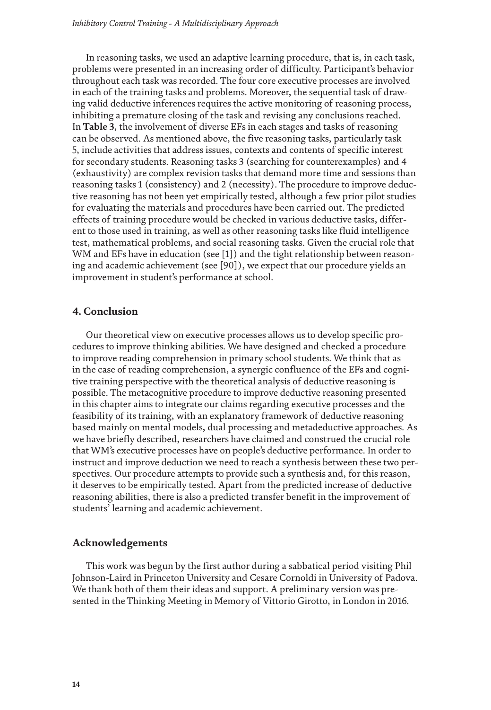In reasoning tasks, we used an adaptive learning procedure, that is, in each task, problems were presented in an increasing order of difficulty. Participant's behavior throughout each task was recorded. The four core executive processes are involved in each of the training tasks and problems. Moreover, the sequential task of drawing valid deductive inferences requires the active monitoring of reasoning process, inhibiting a premature closing of the task and revising any conclusions reached. In **[Table](#page-12-0) 3**, the involvement of diverse EFs in each stages and tasks of reasoning can be observed. As mentioned above, the five reasoning tasks, particularly task 5, include activities that address issues, contexts and contents of specific interest for secondary students. Reasoning tasks 3 (searching for counterexamples) and 4 (exhaustivity) are complex revision tasks that demand more time and sessions than reasoning tasks 1 (consistency) and 2 (necessity). The procedure to improve deductive reasoning has not been yet empirically tested, although a few prior pilot studies for evaluating the materials and procedures have been carried out. The predicted effects of training procedure would be checked in various deductive tasks, different to those used in training, as well as other reasoning tasks like fluid intelligence test, mathematical problems, and social reasoning tasks. Given the crucial role that WM and EFs have in education (see [\[1](#page-15-0)]) and the tight relationship between reasoning and academic achievement (see [\[90](#page-20-8)]), we expect that our procedure yields an improvement in student's performance at school.

# **4. Conclusion**

Our theoretical view on executive processes allows us to develop specific procedures to improve thinking abilities. We have designed and checked a procedure to improve reading comprehension in primary school students. We think that as in the case of reading comprehension, a synergic confluence of the EFs and cognitive training perspective with the theoretical analysis of deductive reasoning is possible. The metacognitive procedure to improve deductive reasoning presented in this chapter aims to integrate our claims regarding executive processes and the feasibility of its training, with an explanatory framework of deductive reasoning based mainly on mental models, dual processing and metadeductive approaches. As we have briefly described, researchers have claimed and construed the crucial role that WM's executive processes have on people's deductive performance. In order to instruct and improve deduction we need to reach a synthesis between these two perspectives. Our procedure attempts to provide such a synthesis and, for this reason, it deserves to be empirically tested. Apart from the predicted increase of deductive reasoning abilities, there is also a predicted transfer benefit in the improvement of students' learning and academic achievement.

### **Acknowledgements**

This work was begun by the first author during a sabbatical period visiting Phil Johnson-Laird in Princeton University and Cesare Cornoldi in University of Padova. We thank both of them their ideas and support. A preliminary version was presented in the Thinking Meeting in Memory of Vittorio Girotto, in London in 2016.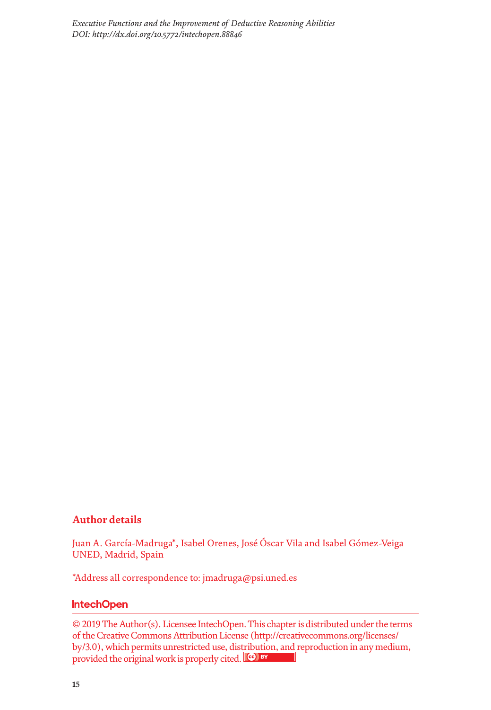# **Author details**

Juan A. García-Madruga\*, Isabel Orenes, José Óscar Vila and Isabel Gómez-Veiga UNED, Madrid, Spain

\*Address all correspondence to: jmadruga@psi.uned.es

# **IntechOpen**

© 2019 The Author(s). Licensee IntechOpen. This chapter is distributed under the terms of the Creative Commons Attribution License (http://creativecommons.org/licenses/ by/3.0), which permits unrestricted use, distribution, and reproduction in any medium, provided the original work is properly cited.  $\left[\mathbf{G}\right]$  BY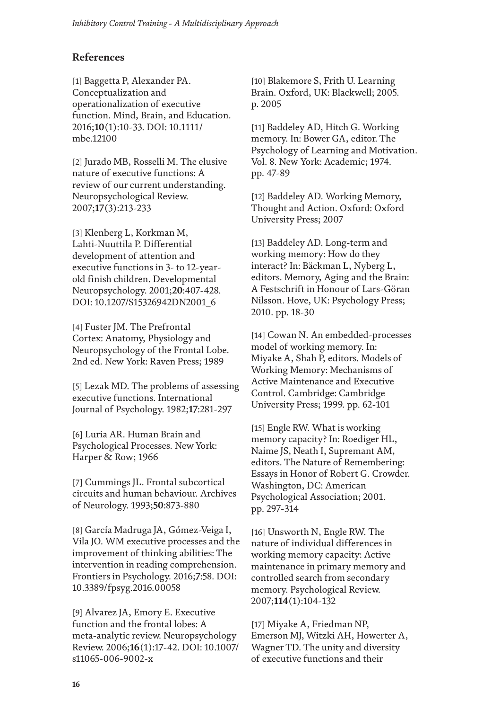# **References**

<span id="page-15-0"></span>[1] Baggetta P, Alexander PA. Conceptualization and operationalization of executive function. Mind, Brain, and Education. 2016;**10**(1):10-33. DOI: 10.1111/ mbe.12100

[2] Jurado MB, Rosselli M. The elusive nature of executive functions: A review of our current understanding. Neuropsychological Review. 2007;**17**(3):213-233

<span id="page-15-1"></span>[3] Klenberg L, Korkman M, Lahti-Nuuttila P. Differential development of attention and executive functions in 3- to 12-yearold finish children. Developmental Neuropsychology. 2001;**20**:407-428. DOI: 10.1207/S15326942DN2001\_6

<span id="page-15-2"></span>[4] Fuster JM. The Prefrontal Cortex: Anatomy, Physiology and Neuropsychology of the Frontal Lobe. 2nd ed. New York: Raven Press; 1989

[5] Lezak MD. The problems of assessing executive functions. International Journal of Psychology. 1982;**17**:281-297

[6] Luria AR. Human Brain and Psychological Processes. New York: Harper & Row; 1966

<span id="page-15-3"></span>[7] Cummings JL. Frontal subcortical circuits and human behaviour. Archives of Neurology. 1993;**50**:873-880

<span id="page-15-4"></span>[8] García Madruga JA, Gómez-Veiga I, Vila JO. WM executive processes and the improvement of thinking abilities: The intervention in reading comprehension. Frontiers in Psychology. 2016;**7**:58. DOI: 10.3389/fpsyg.2016.00058

<span id="page-15-5"></span>[9] Alvarez JA, Emory E. Executive function and the frontal lobes: A meta-analytic review. Neuropsychology Review. 2006;**16**(1):17-42. DOI: 10.1007/ s11065-006-9002-x

<span id="page-15-6"></span>[10] Blakemore S, Frith U. Learning Brain. Oxford, UK: Blackwell; 2005. p. 2005

<span id="page-15-7"></span>[11] Baddeley AD, Hitch G. Working memory. In: Bower GA, editor. The Psychology of Learning and Motivation. Vol. 8. New York: Academic; 1974. pp. 47-89

<span id="page-15-13"></span>[12] Baddeley AD. Working Memory, Thought and Action. Oxford: Oxford University Press; 2007

<span id="page-15-8"></span>[13] Baddeley AD. Long-term and working memory: How do they interact? In: Bäckman L, Nyberg L, editors. Memory, Aging and the Brain: A Festschrift in Honour of Lars-Göran Nilsson. Hove, UK: Psychology Press; 2010. pp. 18-30

<span id="page-15-9"></span>[14] Cowan N. An embedded-processes model of working memory. In: Miyake A, Shah P, editors. Models of Working Memory: Mechanisms of Active Maintenance and Executive Control. Cambridge: Cambridge University Press; 1999. pp. 62-101

<span id="page-15-10"></span>[15] Engle RW. What is working memory capacity? In: Roediger HL, Naime JS, Neath I, Supremant AM, editors. The Nature of Remembering: Essays in Honor of Robert G. Crowder. Washington, DC: American Psychological Association; 2001. pp. 297-314

<span id="page-15-11"></span>[16] Unsworth N, Engle RW. The nature of individual differences in working memory capacity: Active maintenance in primary memory and controlled search from secondary memory. Psychological Review. 2007;**114**(1):104-132

<span id="page-15-12"></span>[17] Miyake A, Friedman NP, Emerson MJ, Witzki AH, Howerter A, Wagner TD. The unity and diversity of executive functions and their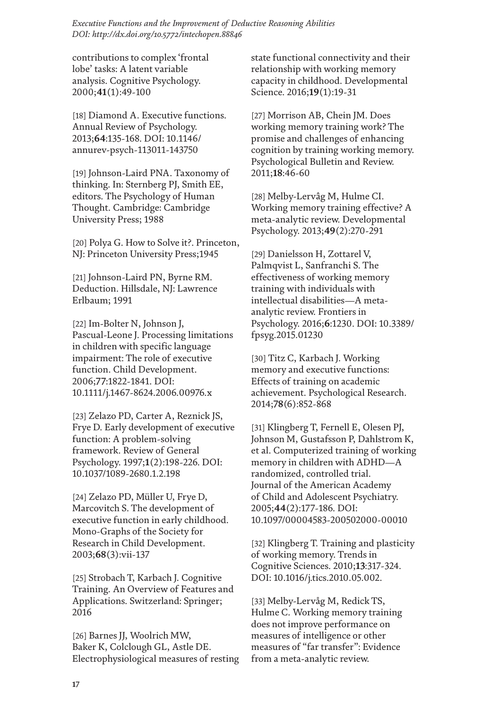contributions to complex 'frontal lobe' tasks: A latent variable analysis. Cognitive Psychology. 2000;**41**(1):49-100

<span id="page-16-0"></span>[18] Diamond A. Executive functions. Annual Review of Psychology. 2013;**64**:135-168. DOI: 10.1146/ annurev-psych-113011-143750

<span id="page-16-1"></span>[19] Johnson-Laird PNA. Taxonomy of thinking. In: Sternberg PJ, Smith EE, editors. The Psychology of Human Thought. Cambridge: Cambridge University Press; 1988

<span id="page-16-2"></span>[20] Polya G. How to Solve it?. Princeton, NJ: Princeton University Press;1945

<span id="page-16-3"></span>[21] Johnson-Laird PN, Byrne RM. Deduction. Hillsdale, NJ: Lawrence Erlbaum; 1991

<span id="page-16-4"></span>[22] Im-Bolter N, Johnson J, Pascual-Leone J. Processing limitations in children with specific language impairment: The role of executive function. Child Development. 2006;**77**:1822-1841. DOI: 10.1111/j.1467-8624.2006.00976.x

<span id="page-16-5"></span>[23] Zelazo PD, Carter A, Reznick JS, Frye D. Early development of executive function: A problem-solving framework. Review of General Psychology. 1997;**1**(2):198-226. DOI: 10.1037/1089-2680.1.2.198

<span id="page-16-6"></span>[24] Zelazo PD, Müller U, Frye D, Marcovitch S. The development of executive function in early childhood. Mono-Graphs of the Society for Research in Child Development. 2003;**68**(3):vii-137

<span id="page-16-7"></span>[25] Strobach T, Karbach J. Cognitive Training. An Overview of Features and Applications. Switzerland: Springer; 2016

<span id="page-16-8"></span>[26] Barnes JJ, Woolrich MW, Baker K, Colclough GL, Astle DE. Electrophysiological measures of resting state functional connectivity and their relationship with working memory capacity in childhood. Developmental Science. 2016;**19**(1):19-31

<span id="page-16-9"></span>[27] Morrison AB, Chein JM. Does working memory training work? The promise and challenges of enhancing cognition by training working memory. Psychological Bulletin and Review. 2011;**18**:46-60

<span id="page-16-10"></span>[28] Melby-Lervâg M, Hulme CI. Working memory training effective? A meta-analytic review. Developmental Psychology. 2013;**49**(2):270-291

<span id="page-16-11"></span>[29] Danielsson H, Zottarel V, Palmqvist L, Sanfranchi S. The effectiveness of working memory training with individuals with intellectual disabilities—A metaanalytic review. Frontiers in Psychology. 2016;**6**:1230. DOI: 10.3389/ fpsyg.2015.01230

<span id="page-16-12"></span>[30] Titz C, Karbach J. Working memory and executive functions: Effects of training on academic achievement. Psychological Research. 2014;**78**(6):852-868

<span id="page-16-13"></span>[31] Klingberg T, Fernell E, Olesen PJ, Johnson M, Gustafsson P, Dahlstrom K, et al. Computerized training of working memory in children with ADHD—A randomized, controlled trial. Journal of the American Academy of Child and Adolescent Psychiatry. 2005;**44**(2):177-186. DOI: 10.1097/00004583-200502000-00010

<span id="page-16-14"></span>[32] Klingberg T. Training and plasticity of working memory. Trends in Cognitive Sciences. 2010;**13**:317-324. DOI: 10.1016/j.tics.2010.05.002.

<span id="page-16-15"></span>[33] Melby-Lervåg M, Redick TS, Hulme C. Working memory training does not improve performance on measures of intelligence or other measures of "far transfer": Evidence from a meta-analytic review.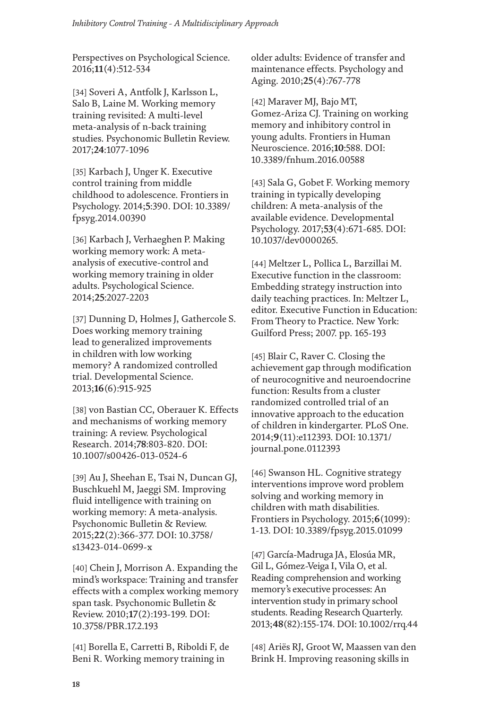Perspectives on Psychological Science. 2016;**11**(4):512-534

<span id="page-17-0"></span>[34] Soveri A, Antfolk J, Karlsson L, Salo B, Laine M. Working memory training revisited: A multi-level meta-analysis of n-back training studies. Psychonomic Bulletin Review. 2017;**24**:1077-1096

<span id="page-17-1"></span>[35] Karbach J, Unger K. Executive control training from middle childhood to adolescence. Frontiers in Psychology. 2014;**5**:390. DOI: 10.3389/ fpsyg.2014.00390

<span id="page-17-2"></span>[36] Karbach J, Verhaeghen P. Making working memory work: A metaanalysis of executive-control and working memory training in older adults. Psychological Science. 2014;**25**:2027-2203

<span id="page-17-3"></span>[37] Dunning D, Holmes J, Gathercole S. Does working memory training lead to generalized improvements in children with low working memory? A randomized controlled trial. Developmental Science. 2013;**16**(6):915-925

<span id="page-17-4"></span>[38] von Bastian CC, Oberauer K. Effects and mechanisms of working memory training: A review. Psychological Research. 2014;**78**:803-820. DOI: 10.1007/s00426-013-0524-6

<span id="page-17-5"></span>[39] Au J, Sheehan E, Tsai N, Duncan GJ, Buschkuehl M, Jaeggi SM. Improving fluid intelligence with training on working memory: A meta-analysis. Psychonomic Bulletin & Review. 2015;**22**(2):366-377. DOI: 10.3758/ s13423-014-0699-x

<span id="page-17-6"></span>[40] Chein J, Morrison A. Expanding the mind's workspace: Training and transfer effects with a complex working memory span task. Psychonomic Bulletin & Review. 2010;**17**(2):193-199. DOI: 10.3758/PBR.17.2.193

<span id="page-17-7"></span>[41] Borella E, Carretti B, Riboldi F, de Beni R. Working memory training in

older adults: Evidence of transfer and maintenance effects. Psychology and Aging. 2010;**25**(4):767-778

<span id="page-17-8"></span>[42] Maraver MJ, Bajo MT, Gomez-Ariza CJ. Training on working memory and inhibitory control in young adults. Frontiers in Human Neuroscience. 2016;**10**:588. DOI: 10.3389/fnhum.2016.00588

<span id="page-17-9"></span>[43] Sala G, Gobet F. Working memory training in typically developing children: A meta-analysis of the available evidence. Developmental Psychology. 2017;**53**(4):671-685. DOI: 10.1037/dev0000265.

<span id="page-17-10"></span>[44] Meltzer L, Pollica L, Barzillai M. Executive function in the classroom: Embedding strategy instruction into daily teaching practices. In: Meltzer L, editor. Executive Function in Education: From Theory to Practice. New York: Guilford Press; 2007. pp. 165-193

<span id="page-17-11"></span>[45] Blair C, Raver C. Closing the achievement gap through modification of neurocognitive and neuroendocrine function: Results from a cluster randomized controlled trial of an innovative approach to the education of children in kindergarter. PLoS One. 2014;**9**(11):e112393. DOI: 10.1371/ journal.pone.0112393

<span id="page-17-12"></span>[46] Swanson HL. Cognitive strategy interventions improve word problem solving and working memory in children with math disabilities. Frontiers in Psychology. 2015;**6**(1099): 1-13. DOI: 10.3389/fpsyg.2015.01099

<span id="page-17-13"></span>[47] García-Madruga JA, Elosúa MR, Gil L, Gómez-Veiga I, Vila O, et al. Reading comprehension and working memory's executive processes: An intervention study in primary school students. Reading Research Quarterly. 2013;**48**(82):155-174. DOI: 10.1002/rrq.44

<span id="page-17-14"></span>[48] Ariës RJ, Groot W, Maassen van den Brink H. Improving reasoning skills in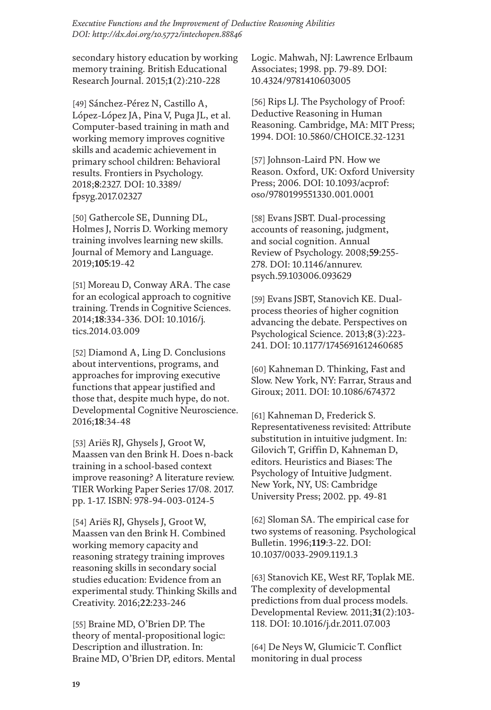secondary history education by working memory training. British Educational Research Journal. 2015;**1**(2):210-228

<span id="page-18-0"></span>[49] Sánchez-Pérez N, Castillo A, López-López JA, Pina V, Puga JL, et al. Computer-based training in math and working memory improves cognitive skills and academic achievement in primary school children: Behavioral results. Frontiers in Psychology. 2018;**8**:2327. DOI: 10.3389/ fpsyg.2017.02327

<span id="page-18-1"></span>[50] Gathercole SE, Dunning DL, Holmes J, Norris D. Working memory training involves learning new skills. Journal of Memory and Language. 2019;**105**:19-42

<span id="page-18-2"></span>[51] Moreau D, Conway ARA. The case for an ecological approach to cognitive training. Trends in Cognitive Sciences. 2014;**18**:334-336. DOI: 10.1016/j. tics.2014.03.009

<span id="page-18-3"></span>[52] Diamond A, Ling D. Conclusions about interventions, programs, and approaches for improving executive functions that appear justified and those that, despite much hype, do not. Developmental Cognitive Neuroscience. 2016;**18**:34-48

<span id="page-18-4"></span>[53] Ariës RJ, Ghysels J, Groot W, Maassen van den Brink H. Does n-back training in a school-based context improve reasoning? A literature review. TIER Working Paper Series 17/08. 2017. pp. 1-17. ISBN: 978-94-003-0124-5

<span id="page-18-5"></span>[54] Ariës RJ, Ghysels J, Groot W, Maassen van den Brink H. Combined working memory capacity and reasoning strategy training improves reasoning skills in secondary social studies education: Evidence from an experimental study. Thinking Skills and Creativity. 2016;**22**:233-246

<span id="page-18-6"></span>[55] Braine MD, O'Brien DP. The theory of mental-propositional logic: Description and illustration. In: Braine MD, O'Brien DP, editors. Mental Logic. Mahwah, NJ: Lawrence Erlbaum Associates; 1998. pp. 79-89. DOI: 10.4324/9781410603005

<span id="page-18-7"></span>[56] Rips LJ. The Psychology of Proof: Deductive Reasoning in Human Reasoning. Cambridge, MA: MIT Press; 1994. DOI: 10.5860/CHOICE.32-1231

<span id="page-18-8"></span>[57] Johnson-Laird PN. How we Reason. Oxford, UK: Oxford University Press; 2006. DOI: 10.1093/acprof: oso/9780199551330.001.0001

<span id="page-18-9"></span>[58] Evans JSBT. Dual-processing accounts of reasoning, judgment, and social cognition. Annual Review of Psychology. 2008;**59**:255- 278. DOI: 10.1146/annurev. psych.59.103006.093629

[59] Evans JSBT, Stanovich KE. Dualprocess theories of higher cognition advancing the debate. Perspectives on Psychological Science. 2013;**8**(3):223- 241. DOI: 10.1177/1745691612460685

[60] Kahneman D. Thinking, Fast and Slow. New York, NY: Farrar, Straus and Giroux; 2011. DOI: 10.1086/674372

[61] Kahneman D, Frederick S. Representativeness revisited: Attribute substitution in intuitive judgment. In: Gilovich T, Griffin D, Kahneman D, editors. Heuristics and Biases: The Psychology of Intuitive Judgment. New York, NY, US: Cambridge University Press; 2002. pp. 49-81

<span id="page-18-10"></span>[62] Sloman SA. The empirical case for two systems of reasoning. Psychological Bulletin. 1996;**119**:3-22. DOI: 10.1037/0033-2909.119.1.3

<span id="page-18-11"></span>[63] Stanovich KE, West RF, Toplak ME. The complexity of developmental predictions from dual process models. Developmental Review. 2011;**31**(2):103- 118. DOI: 10.1016/j.dr.2011.07.003

<span id="page-18-12"></span>[64] De Neys W, Glumicic T. Conflict monitoring in dual process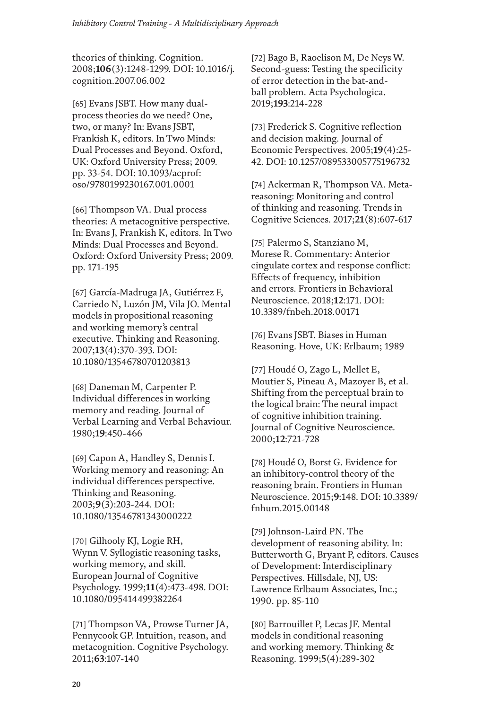theories of thinking. Cognition. 2008;**106**(3):1248-1299. DOI: 10.1016/j. cognition.2007.06.002

[65] Evans JSBT. How many dualprocess theories do we need? One, two, or many? In: Evans JSBT, Frankish K, editors. In Two Minds: Dual Processes and Beyond. Oxford, UK: Oxford University Press; 2009. pp. 33-54. DOI: 10.1093/acprof: oso/9780199230167.001.0001

<span id="page-19-0"></span>[66] Thompson VA. Dual process theories: A metacognitive perspective. In: Evans J, Frankish K, editors. In Two Minds: Dual Processes and Beyond. Oxford: Oxford University Press; 2009. pp. 171-195

<span id="page-19-1"></span>[67] García-Madruga JA, Gutiérrez F, Carriedo N, Luzón JM, Vila JO. Mental models in propositional reasoning and working memory's central executive. Thinking and Reasoning. 2007;**13**(4):370-393. DOI: 10.1080/13546780701203813

<span id="page-19-2"></span>[68] Daneman M, Carpenter P. Individual differences in working memory and reading. Journal of Verbal Learning and Verbal Behaviour. 1980;**19**:450-466

<span id="page-19-3"></span>[69] Capon A, Handley S, Dennis I. Working memory and reasoning: An individual differences perspective. Thinking and Reasoning. 2003;**9**(3):203-244. DOI: 10.1080/13546781343000222

<span id="page-19-4"></span>[70] Gilhooly KJ, Logie RH, Wynn V. Syllogistic reasoning tasks, working memory, and skill. European Journal of Cognitive Psychology. 1999;**11**(4):473-498. DOI: 10.1080/095414499382264

<span id="page-19-5"></span>[71] Thompson VA, Prowse Turner JA, Pennycook GP. Intuition, reason, and metacognition. Cognitive Psychology. 2011;**63**:107-140

<span id="page-19-6"></span>[72] Bago B, Raoelison M, De Neys W. Second-guess: Testing the specificity of error detection in the bat-andball problem. Acta Psychologica. 2019;**193**:214-228

<span id="page-19-7"></span>[73] Frederick S. Cognitive reflection and decision making. Journal of Economic Perspectives. 2005;**19**(4):25- 42. DOI: 10.1257/089533005775196732

<span id="page-19-8"></span>[74] Ackerman R, Thompson VA. Metareasoning: Monitoring and control of thinking and reasoning. Trends in Cognitive Sciences. 2017;**21**(8):607-617

<span id="page-19-9"></span>[75] Palermo S, Stanziano M, Morese R. Commentary: Anterior cingulate cortex and response conflict: Effects of frequency, inhibition and errors. Frontiers in Behavioral Neuroscience. 2018;**12**:171. DOI: 10.3389/fnbeh.2018.00171

<span id="page-19-10"></span>[76] Evans JSBT. Biases in Human Reasoning. Hove, UK: Erlbaum; 1989

<span id="page-19-11"></span>[77] Houdé O, Zago L, Mellet E, Moutier S, Pineau A, Mazoyer B, et al. Shifting from the perceptual brain to the logical brain: The neural impact of cognitive inhibition training. Journal of Cognitive Neuroscience. 2000;**12**:721-728

<span id="page-19-12"></span>[78] Houdé O, Borst G. Evidence for an inhibitory-control theory of the reasoning brain. Frontiers in Human Neuroscience. 2015;**9**:148. DOI: 10.3389/ fnhum.2015.00148

<span id="page-19-13"></span>[79] Johnson-Laird PN. The development of reasoning ability. In: Butterworth G, Bryant P, editors. Causes of Development: Interdisciplinary Perspectives. Hillsdale, NJ, US: Lawrence Erlbaum Associates, Inc.; 1990. pp. 85-110

[80] Barrouillet P, Lecas JF. Mental models in conditional reasoning and working memory. Thinking & Reasoning. 1999;**5**(4):289-302